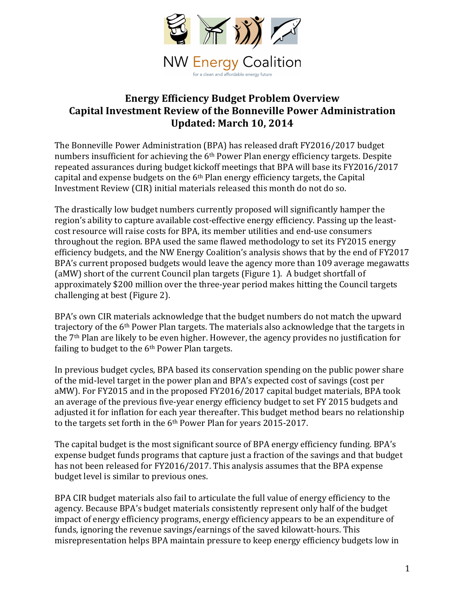

# **Energy Efficiency Budget Problem Overview Capital Investment Review of the Bonneville Power Administration Updated: March 10, 2014**

The Bonneville Power Administration (BPA) has released draft FY2016/2017 budget numbers insufficient for achieving the  $6<sup>th</sup>$  Power Plan energy efficiency targets. Despite repeated assurances during budget kickoff meetings that BPA will base its FY2016/2017 capital and expense budgets on the  $6<sup>th</sup>$  Plan energy efficiency targets, the Capital Investment Review (CIR) initial materials released this month do not do so.

The drastically low budget numbers currently proposed will significantly hamper the region's ability to capture available cost-effective energy efficiency. Passing up the leastcost resource will raise costs for BPA, its member utilities and end-use consumers throughout the region. BPA used the same flawed methodology to set its FY2015 energy efficiency budgets, and the NW Energy Coalition's analysis shows that by the end of FY2017 BPA's current proposed budgets would leave the agency more than 109 average megawatts (aMW) short of the current Council plan targets (Figure 1). A budget shortfall of approximately \$200 million over the three-year period makes hitting the Council targets challenging at best (Figure 2).

BPA's own CIR materials acknowledge that the budget numbers do not match the upward trajectory of the 6<sup>th</sup> Power Plan targets. The materials also acknowledge that the targets in the  $7<sup>th</sup>$  Plan are likely to be even higher. However, the agency provides no justification for failing to budget to the  $6<sup>th</sup>$  Power Plan targets.

In previous budget cycles, BPA based its conservation spending on the public power share of the mid-level target in the power plan and BPA's expected cost of savings (cost per aMW). For FY2015 and in the proposed FY2016/2017 capital budget materials, BPA took an average of the previous five-year energy efficiency budget to set FY 2015 budgets and adjusted it for inflation for each year thereafter. This budget method bears no relationship to the targets set forth in the  $6<sup>th</sup>$  Power Plan for years 2015-2017.

The capital budget is the most significant source of BPA energy efficiency funding. BPA's expense budget funds programs that capture just a fraction of the savings and that budget has not been released for FY2016/2017. This analysis assumes that the BPA expense budget level is similar to previous ones.

BPA CIR budget materials also fail to articulate the full value of energy efficiency to the agency. Because BPA's budget materials consistently represent only half of the budget impact of energy efficiency programs, energy efficiency appears to be an expenditure of funds, ignoring the revenue savings/earnings of the saved kilowatt-hours. This misrepresentation helps BPA maintain pressure to keep energy efficiency budgets low in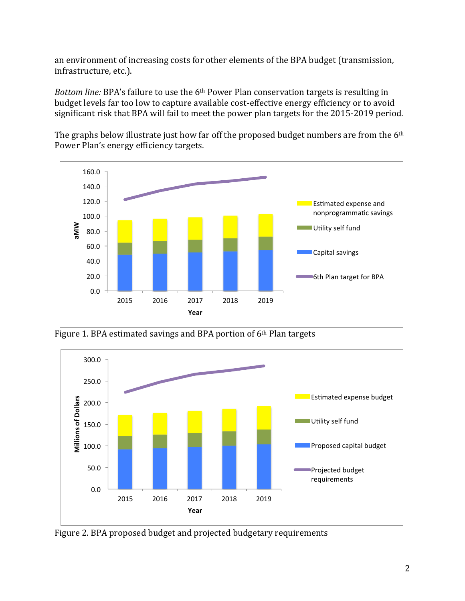an environment of increasing costs for other elements of the BPA budget (transmission, infrastructure, etc.).

*Bottom line:* BPA's failure to use the 6<sup>th</sup> Power Plan conservation targets is resulting in budget levels far too low to capture available cost-effective energy efficiency or to avoid significant risk that BPA will fail to meet the power plan targets for the 2015-2019 period.

The graphs below illustrate just how far off the proposed budget numbers are from the 6<sup>th</sup> Power Plan's energy efficiency targets.



Figure 1. BPA estimated savings and BPA portion of  $6<sup>th</sup>$  Plan targets



Figure 2. BPA proposed budget and projected budgetary requirements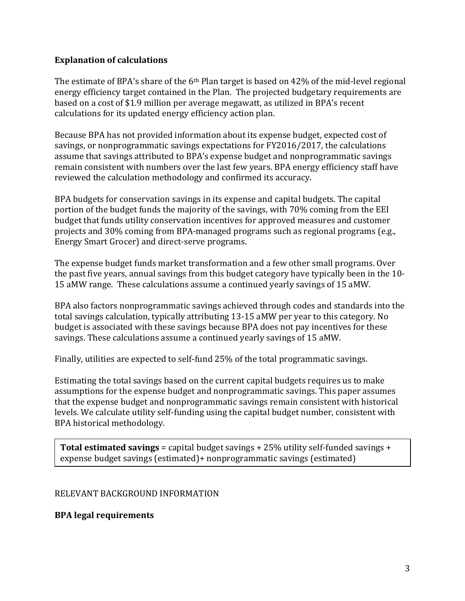#### **Explanation of calculations**

The estimate of BPA's share of the  $6<sup>th</sup>$  Plan target is based on 42% of the mid-level regional energy efficiency target contained in the Plan. The projected budgetary requirements are based on a cost of \$1.9 million per average megawatt, as utilized in BPA's recent calculations for its updated energy efficiency action plan.

Because BPA has not provided information about its expense budget, expected cost of savings, or nonprogrammatic savings expectations for FY2016/2017, the calculations assume that savings attributed to BPA's expense budget and nonprogrammatic savings remain consistent with numbers over the last few years. BPA energy efficiency staff have reviewed the calculation methodology and confirmed its accuracy.

BPA budgets for conservation savings in its expense and capital budgets. The capital portion of the budget funds the majority of the savings, with 70% coming from the EEI budget that funds utility conservation incentives for approved measures and customer projects and 30% coming from BPA-managed programs such as regional programs (e.g., Energy Smart Grocer) and direct-serve programs.

The expense budget funds market transformation and a few other small programs. Over the past five years, annual savings from this budget category have typically been in the  $10$ -15 aMW range. These calculations assume a continued yearly savings of 15 aMW.

BPA also factors nonprogrammatic savings achieved through codes and standards into the total savings calculation, typically attributing 13-15 aMW per year to this category. No budget is associated with these savings because BPA does not pay incentives for these savings. These calculations assume a continued yearly savings of 15 aMW.

Finally, utilities are expected to self-fund 25% of the total programmatic savings.

Estimating the total savings based on the current capital budgets requires us to make assumptions for the expense budget and nonprogrammatic savings. This paper assumes that the expense budget and nonprogrammatic savings remain consistent with historical levels. We calculate utility self-funding using the capital budget number, consistent with BPA historical methodology.

**Total estimated savings** = capital budget savings +  $25\%$  utility self-funded savings + expense budget savings (estimated)+ nonprogrammatic savings (estimated)

#### RELEVANT BACKGROUND INFORMATION

### **BPA legal requirements**